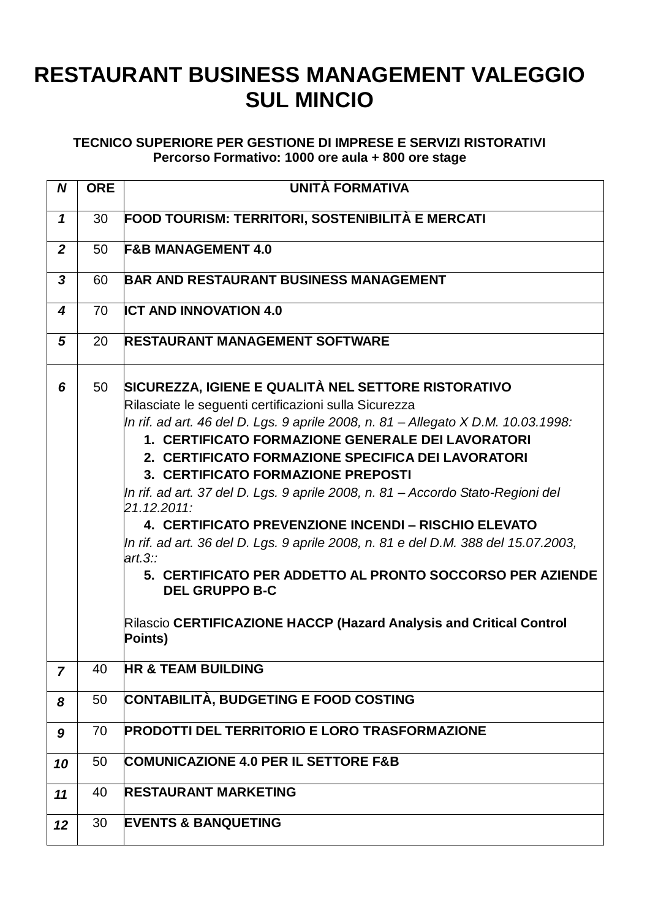## **RESTAURANT BUSINESS MANAGEMENT VALEGGIO SUL MINCIO**

## **TECNICO SUPERIORE PER GESTIONE DI IMPRESE E SERVIZI RISTORATIVI Percorso Formativo: 1000 ore aula + 800 ore stage**

| N                | <b>ORE</b> | UNITÀ FORMATIVA                                                                                                                                                                                                                                                                                                                                                                                                                                                                                                                                                                                                                                                                                                                                                                       |
|------------------|------------|---------------------------------------------------------------------------------------------------------------------------------------------------------------------------------------------------------------------------------------------------------------------------------------------------------------------------------------------------------------------------------------------------------------------------------------------------------------------------------------------------------------------------------------------------------------------------------------------------------------------------------------------------------------------------------------------------------------------------------------------------------------------------------------|
| 1                | 30         | FOOD TOURISM: TERRITORI, SOSTENIBILITÀ E MERCATI                                                                                                                                                                                                                                                                                                                                                                                                                                                                                                                                                                                                                                                                                                                                      |
| $\boldsymbol{2}$ | 50         | <b>F&amp;B MANAGEMENT 4.0</b>                                                                                                                                                                                                                                                                                                                                                                                                                                                                                                                                                                                                                                                                                                                                                         |
| $\boldsymbol{3}$ | 60         | <b>BAR AND RESTAURANT BUSINESS MANAGEMENT</b>                                                                                                                                                                                                                                                                                                                                                                                                                                                                                                                                                                                                                                                                                                                                         |
| 4                | 70         | <b>ICT AND INNOVATION 4.0</b>                                                                                                                                                                                                                                                                                                                                                                                                                                                                                                                                                                                                                                                                                                                                                         |
| 5                | 20         | <b>RESTAURANT MANAGEMENT SOFTWARE</b>                                                                                                                                                                                                                                                                                                                                                                                                                                                                                                                                                                                                                                                                                                                                                 |
| 6                | 50         | SICUREZZA, IGIENE E QUALITÀ NEL SETTORE RISTORATIVO<br>Rilasciate le seguenti certificazioni sulla Sicurezza<br>In rif. ad art. 46 del D. Lgs. 9 aprile 2008, n. 81 – Allegato X D.M. 10.03.1998:<br>1. CERTIFICATO FORMAZIONE GENERALE DEI LAVORATORI<br>2. CERTIFICATO FORMAZIONE SPECIFICA DEI LAVORATORI<br>3. CERTIFICATO FORMAZIONE PREPOSTI<br>In rif. ad art. 37 del D. Lgs. 9 aprile 2008, n. 81 – Accordo Stato-Regioni del<br>21.12.2011:<br>4. CERTIFICATO PREVENZIONE INCENDI – RISCHIO ELEVATO<br>In rif. ad art. 36 del D. Lgs. 9 aprile 2008, n. 81 e del D.M. 388 del 15.07.2003,<br>art.3::<br>5. CERTIFICATO PER ADDETTO AL PRONTO SOCCORSO PER AZIENDE<br><b>DEL GRUPPO B-C</b><br>Rilascio CERTIFICAZIONE HACCP (Hazard Analysis and Critical Control<br>Points) |
| 7                | 40         | <b>HR &amp; TEAM BUILDING</b>                                                                                                                                                                                                                                                                                                                                                                                                                                                                                                                                                                                                                                                                                                                                                         |
| 8                | 50         | <b>CONTABILITÀ, BUDGETING E FOOD COSTING</b>                                                                                                                                                                                                                                                                                                                                                                                                                                                                                                                                                                                                                                                                                                                                          |
| 9                | 70         | <b>PRODOTTI DEL TERRITORIO E LORO TRASFORMAZIONE</b>                                                                                                                                                                                                                                                                                                                                                                                                                                                                                                                                                                                                                                                                                                                                  |
| 10               | 50         | <b>COMUNICAZIONE 4.0 PER IL SETTORE F&amp;B</b>                                                                                                                                                                                                                                                                                                                                                                                                                                                                                                                                                                                                                                                                                                                                       |
| 11               | 40         | <b>RESTAURANT MARKETING</b>                                                                                                                                                                                                                                                                                                                                                                                                                                                                                                                                                                                                                                                                                                                                                           |
| 12               | 30         | <b>EVENTS &amp; BANQUETING</b>                                                                                                                                                                                                                                                                                                                                                                                                                                                                                                                                                                                                                                                                                                                                                        |